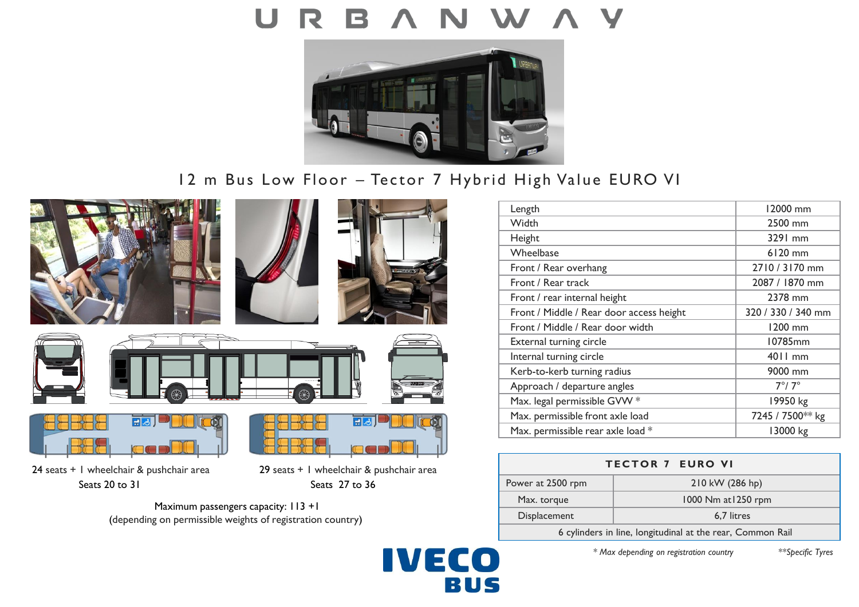

# 12 m Bus Low Floor – Tector 7 Hybrid High Value EURO VI

**IVECO** 

BUS











24 seats + 1 wheelchair & pushchair area 29 seats + 1 wheelchair & pushchair area Seats 20 to 31 Seats 27 to 36



Maximum passengers capacity: 113 +1 (depending on permissible weights of registration country)



| <b>TECTOR 7 EURO VI</b>                                    |                     |
|------------------------------------------------------------|---------------------|
| Power at 2500 rpm                                          | 210 kW (286 hp)     |
| Max. torque                                                | 1000 Nm at 1250 rpm |
| Displacement                                               | 6.7 litres          |
| 6 cylinders in line, longitudinal at the rear, Common Rail |                     |

*\* Max depending on registration country \*\*Specific Tyres*